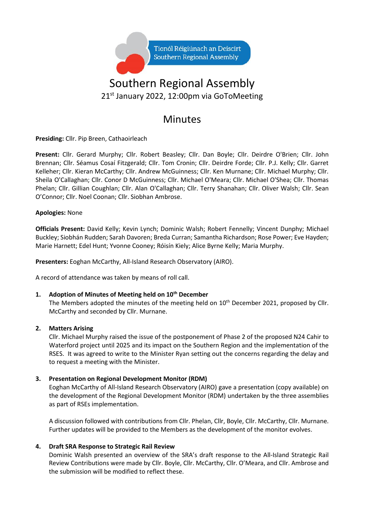

# Southern Regional Assembly 21<sup>st</sup> January 2022, 12:00pm via GoToMeeting

## Minutes

**Presiding:** Cllr. Pip Breen, Cathaoirleach

Present: Cllr. Gerard Murphy; Cllr. Robert Beasley; Cllr. Dan Boyle; Cllr. Deirdre O'Brien; Cllr. John Brennan; Cllr. Séamus Cosaí Fitzgerald; Cllr. Tom Cronin; Cllr. Deirdre Forde; Cllr. P.J. Kelly; Cllr. Garret Kelleher; Cllr. Kieran McCarthy; Cllr. Andrew McGuinness; Cllr. Ken Murnane; Cllr. Michael Murphy; Cllr. Sheila O'Callaghan; Cllr. Conor D McGuinness; Cllr. Michael O'Meara; Cllr. Michael O'Shea; Cllr. Thomas Phelan; Cllr. Gillian Coughlan; Cllr. Alan O'Callaghan; Cllr. Terry Shanahan; Cllr. Oliver Walsh; Cllr. Sean O'Connor; Cllr. Noel Coonan; Cllr. Siobhan Ambrose.

### **Apologies:** None

**Officials Present:** David Kelly; Kevin Lynch; Dominic Walsh; Robert Fennelly; Vincent Dunphy; Michael Buckley; Siobhán Rudden; Sarah Davoren; Breda Curran; Samantha Richardson; Rose Power; Eve Hayden; Marie Harnett; Edel Hunt; Yvonne Cooney; Róisín Kiely; Alice Byrne Kelly; Maria Murphy.

**Presenters:** Eoghan McCarthy, All-Island Research Observatory (AIRO).

A record of attendance was taken by means of roll call.

## **1. Adoption of Minutes of Meeting held on 10 th December**

The Members adopted the minutes of the meeting held on  $10<sup>th</sup>$  December 2021, proposed by Cllr. McCarthy and seconded by Cllr. Murnane.

### **2. Matters Arising**

Cllr. Michael Murphy raised the issue of the postponement of Phase 2 of the proposed N24 Cahir to Waterford project until 2025 and its impact on the Southern Region and the implementation of the RSES. It was agreed to write to the Minister Ryan setting out the concerns regarding the delay and to request a meeting with the Minister.

### **3. Presentation on Regional Development Monitor (RDM)**

Eoghan McCarthy of All-Island Research Observatory (AIRO) gave a presentation (copy available) on the development of the Regional Development Monitor (RDM) undertaken by the three assemblies as part of RSEs implementation.

A discussion followed with contributions from Cllr. Phelan, Cllr, Boyle, Cllr. McCarthy, Cllr. Murnane. Further updates will be provided to the Members as the development of the monitor evolves.

### **4. Draft SRA Response to Strategic Rail Review**

Dominic Walsh presented an overview of the SRA's draft response to the All-Island Strategic Rail Review Contributions were made by Cllr. Boyle, Cllr. McCarthy, Cllr. O'Meara, and Cllr. Ambrose and the submission will be modified to reflect these.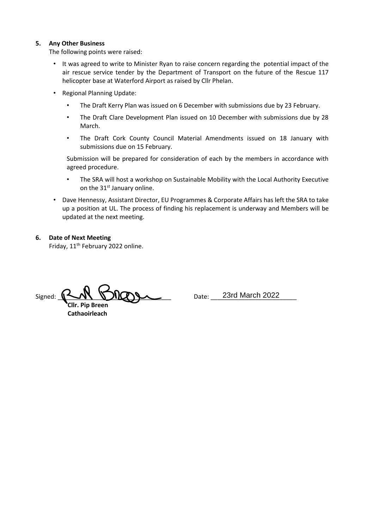#### **5. Any Other Business**

The following points were raised:

- It was agreed to write to Minister Ryan to raise concern regarding the potential impact of the air rescue service tender by the Department of Transport on the future of the Rescue 117 helicopter base at Waterford Airport as raised by Cllr Phelan.
- Regional Planning Update:
	- The Draft Kerry Plan was issued on 6 December with submissions due by 23 February.
	- The Draft Clare Development Plan issued on 10 December with submissions due by 28 March.
	- The Draft Cork County Council Material Amendments issued on 18 January with submissions due on 15 February.

Submission will be prepared for consideration of each by the members in accordance with agreed procedure.

- The SRA will host a workshop on Sustainable Mobility with the Local Authority Executive on the 31<sup>st</sup> January online.
- Dave Hennessy, Assistant Director, EU Programmes & Corporate Affairs has left the SRA to take up a position at UL. The process of finding his replacement is underway and Members will be updated at the next meeting.

#### **6. Date of Next Meeting**

Friday, 11<sup>th</sup> February 2022 online.

 $Signed: \_\_\_\_\_\_\_\_\_\_\_\_\_\_$  **Cllr. Pip Breen Cathaoirleach**